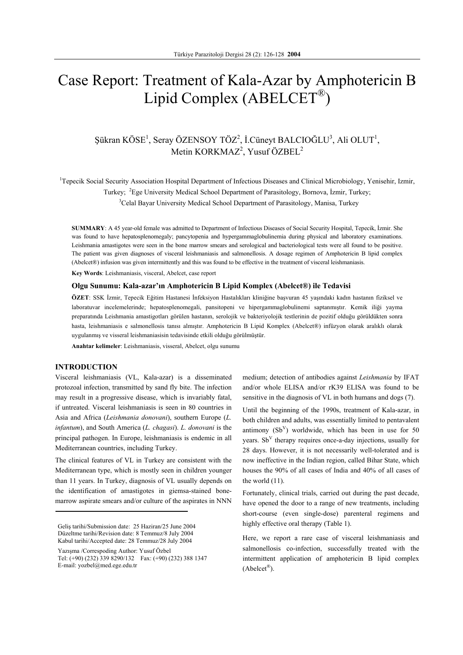# Case Report: Treatment of Kala-Azar by Amphotericin B Lipid Complex (ABELCET®)

# Şükran KÖSE<sup>1</sup>, Seray ÖZENSOY TÖZ<sup>2</sup>, İ.Cüneyt BALCIOĞLU<sup>3</sup>, Ali OLUT<sup>1</sup>, Metin KORKMAZ<sup>2</sup>, Yusuf ÖZBEL<sup>2</sup>

<sup>1</sup>Tepecik Social Security Association Hospital Department of Infectious Diseases and Clinical Microbiology, Yenisehir, Izmir, Turkey; <sup>2</sup>Ege University Medical School Department of Parasitology, Bornova, İzmir, Turkey; <sup>3</sup>Celal Bayar University Medical School Department of Parasitology, Manisa, Turkey

**SUMMARY**: A 45 year-old female was admitted to Department of Infectious Diseases of Social Security Hospital, Tepecik, İzmir. She was found to have hepatosplenomegaly; pancytopenia and hypergammaglobulinemia during physical and laboratory examinations. Leishmania amastigotes were seen in the bone marrow smears and serological and bacteriological tests were all found to be positive. The patient was given diagnoses of visceral leishmaniasis and salmonellosis. A dosage regimen of Amphotericin B lipid complex (Abelcet®) infusion was given intermittently and this was found to be effective in the treatment of visceral leishmaniasis.

**Key Words**: Leishmaniasis, visceral, Abelcet, case report

### **Olgu Sunumu: Kala-azar'ın Amphotericin B Lipid Komplex (Abelcet®) ile Tedavisi**

**ÖZET**: SSK İzmir, Tepecik Eğitim Hastanesi İnfeksiyon Hastalıkları kliniğine başvuran 45 yaşındaki kadın hastanın fiziksel ve laboratuvar incelemelerinde; hepatosplenomegali, pansitopeni ve hipergammaglobulinemi saptanmıştır. Kemik iliği yayma preparatında Leishmania amastigotları görülen hastanın, serolojik ve bakteriyolojik testlerinin de pozitif olduğu görüldükten sonra hasta, leishmaniasis e salmonellosis tanısı almıştır. Amphotericin B Lipid Komplex (Abelcet®) infüzyon olarak aralıklı olarak uygulanmış ve visseral leishmaniasisin tedavisinde etkili olduğu görülmüştür.

**Anahtar kelimeler**: Leishmaniasis, visseral, Abelcet, olgu sunumu

# **INTRODUCTION**

Visceral leishmaniasis (VL, Kala-azar) is a disseminated protozoal infection, transmitted by sand fly bite. The infection may result in a progressive disease, which is invariably fatal, if untreated. Visceral leishmaniasis is seen in 80 countries in Asia and Africa (*Leishmania donovani*), southern Europe (*L. infantum*), and South America (*L. chagasi*). *L. donovani* is the principal pathogen. In Europe, leishmaniasis is endemic in all Mediterranean countries, including Turkey.

The clinical features of VL in Turkey are consistent with the Mediterranean type, which is mostly seen in children younger than 11 years. In Turkey, diagnosis of VL usually depends on the identification of amastigotes in giemsa-stained bonemarrow aspirate smears and/or culture of the aspirates in NNN

Yazışma /Correspoding Author: Yusuf Özbel

medium; detection of antibodies against *Leishmania* by IFAT and/or whole ELISA and/or rK39 ELISA was found to be sensitive in the diagnosis of VL in both humans and dogs (7).

Until the beginning of the 1990s, treatment of Kala-azar, in both children and adults, was essentially limited to pentavalent antimony  $(Sb<sup>V</sup>)$  worldwide, which has been in use for 50 years. Sb<sup>V</sup> therapy requires once-a-day injections, usually for 28 days. However, it is not necessarily well-tolerated and is now ineffective in the Indian region, called Bihar State, which houses the 90% of all cases of India and 40% of all cases of the world (11).

Fortunately, clinical trials, carried out during the past decade, have opened the door to a range of new treatments, including short-course (even single-dose) parenteral regimens and highly effective oral therapy (Table 1).

Here, we report a rare case of visceral leishmaniasis and salmonellosis co-infection, successfully treated with the intermittent application of amphotericin B lipid complex  $(Abelect^{\mathcal{B}}).$ 

Geliş tarihi/Submission date: 25 Haziran/25 June 2004 Düzeltme tarihi/Revision date: 8 Temmuz/8 July 2004 Kabul tarihi/Accepted date: 28 Temmuz/28 July 2004

Tel: (+90) (232) 339 8290/132 Fax: (+90) (232) 388 1347 E-mail: yozbel@med.ege.edu.tr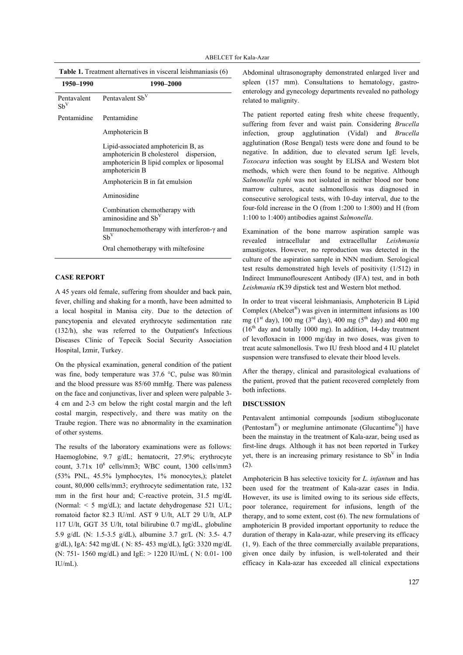| 1950-1990               | 1990-2000                                                                                                                                    |
|-------------------------|----------------------------------------------------------------------------------------------------------------------------------------------|
| Pentavalent<br>$Sb^{V}$ | Pentavalent Sb <sup>V</sup>                                                                                                                  |
| Pentamidine             | Pentamidine                                                                                                                                  |
|                         | Amphotericin B                                                                                                                               |
|                         | Lipid-associated amphotericin B, as<br>amphotericin B cholesterol dispersion,<br>amphotericin B lipid complex or liposomal<br>amphotericin B |
|                         | Amphotericin B in fat emulsion                                                                                                               |
|                         | Aminosidine                                                                                                                                  |
|                         | Combination chemotherapy with<br>aminosidine and Sb <sup>V</sup>                                                                             |
|                         | Immunochemotherapy with interferon- $\gamma$ and<br>$Sb^{V}$                                                                                 |
|                         | Oral chemotherapy with miltefosine                                                                                                           |

# **Table 1.** Treatment alternatives in visceral leishmaniasis (6)

## **CASE REPORT**

A 45 years old female, suffering from shoulder and back pain, fever, chilling and shaking for a month, have been admitted to a local hospital in Manisa city. Due to the detection of pancytopenia and elevated erythrocyte sedimentation rate (132/h), she was referred to the Outpatient's Infectious Diseases Clinic of Tepecik Social Security Association Hospital, Izmir, Turkey.

On the physical examination, general condition of the patient was fine, body temperature was 37.6 °C, pulse was 80/min and the blood pressure was 85/60 mmHg. There was paleness on the face and conjunctivas, liver and spleen were palpable 3- 4 cm and 2-3 cm below the right costal margin and the left costal margin, respectively, and there was matity on the Traube region. There was no abnormality in the examination of other systems.

The results of the laboratory examinations were as follows: Haemoglobine, 9.7 g/dL; hematocrit, 27.9%; erythrocyte count,  $3.71x$   $10^6$  cells/mm3; WBC count,  $1300$  cells/mm3 (53% PNL, 45.5% lymphocytes, 1% monocytes,); platelet count, 80,000 cells/mm3; erythrocyte sedimentation rate, 132 mm in the first hour and; C-reactive protein, 31.5 mg/dL (Normal: < 5 mg/dL); and lactate dehydrogenase 521 U/L; romatoid factor 82.3 IU/ml. AST 9 U/lt, ALT 29 U/lt, ALP 117 U/lt, GGT 35 U/lt, total bilirubine 0.7 mg/dL, globuline 5.9 g/dL (N: 1.5-3.5 g/dL), albumine 3.7 gr/L (N: 3.5- 4.7 g/dL), IgA: 542 mg/dL ( N: 85- 453 mg/dL), IgG: 3320 mg/dL (N: 751- 1560 mg/dL) and IgE: > 1220 IU/mL ( N: 0.01- 100 IU/mL).

Abdominal ultrasonography demonstrated enlarged liver and spleen (157 mm). Consultations to hematology, gastroenterology and gynecology departments revealed no pathology related to malignity.

The patient reported eating fresh white cheese frequently, suffering from fever and waist pain. Considering *Brucella* infection, group agglutination (Vidal) and *Brucella*  agglutination (Rose Bengal) tests were done and found to be negative. In addition, due to elevated serum IgE levels, *Toxocara* infection was sought by ELISA and Western blot methods, which were then found to be negative. Although *Salmonella typhi* was not isolated in neither blood nor bone marrow cultures, acute salmonellosis was diagnosed in consecutive serological tests, with 10-day interval, due to the four-fold increase in the O (from 1:200 to 1:800) and H (from 1:100 to 1:400) antibodies against *Salmonella*.

Examination of the bone marrow aspiration sample was revealed intracellular and extracellullar *Leishmania* amastigotes. However, no reproduction was detected in the culture of the aspiration sample in NNN medium. Serological test results demonstrated high levels of positivity (1/512) in Indirect Immunoflourescent Antibody (IFA) test, and in both *Leishmania* rK39 dipstick test and Western blot method.

In order to treat visceral leishmaniasis, Amphotericin B Lipid Complex (Abelcet®) was given in intermittent infusions as 100 mg (1<sup>st</sup> day), 100 mg (3<sup>rd</sup> day), 400 mg (5<sup>th</sup> day) and 400 mg  $(16<sup>th</sup>$  day and totally 1000 mg). In addition, 14-day treatment of levofloxacin in 1000 mg/day in two doses, was given to treat acute salmonellosis. Two IU fresh blood and 4 IU platelet suspension were transfused to elevate their blood levels.

After the therapy, clinical and parasitological evaluations of the patient, proved that the patient recovered completely from both infections.

#### **DISCUSSION**

Pentavalent antimonial compounds [sodium stibogluconate (Pentostam®) or meglumine antimonate (Glucantime®)] have been the mainstay in the treatment of Kala-azar, being used as first-line drugs. Although it has not been reported in Turkey yet, there is an increasing primary resistance to  $Sb<sup>V</sup>$  in India (2).

Amphotericin B has selective toxicity for *L. infantum* and has been used for the treatment of Kala-azar cases in India. However, its use is limited owing to its serious side effects, poor tolerance, requirement for infusions, length of the therapy, and to some extent, cost (6). The new formulations of amphotericin B provided important opportunity to reduce the duration of therapy in Kala-azar, while preserving its efficacy (1, 9). Each of the three commercially available preparations, given once daily by infusion, is well-tolerated and their efficacy in Kala-azar has exceeded all clinical expectations